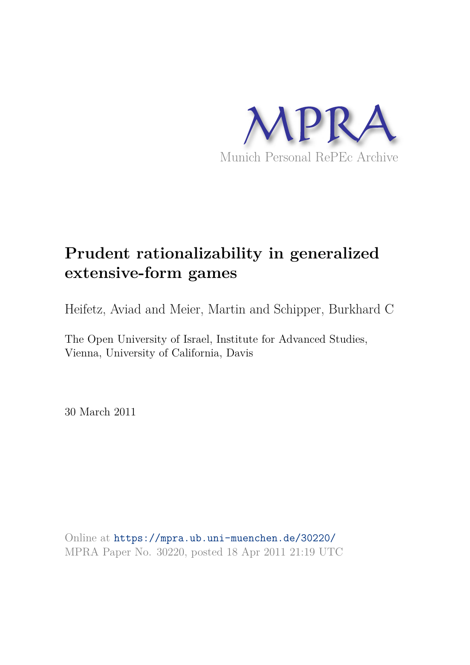

# **Prudent rationalizability in generalized extensive-form games**

Heifetz, Aviad and Meier, Martin and Schipper, Burkhard C

The Open University of Israel, Institute for Advanced Studies, Vienna, University of California, Davis

30 March 2011

Online at https://mpra.ub.uni-muenchen.de/30220/ MPRA Paper No. 30220, posted 18 Apr 2011 21:19 UTC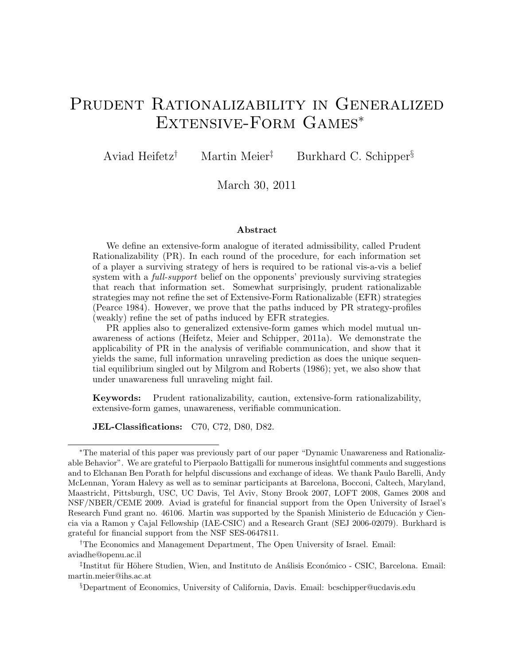# PRUDENT RATIONALIZABILITY IN GENERALIZED Extensive-Form Games<sup>∗</sup>

Aviad Heifetz† Martin Meier‡ Burkhard C. Schipper§

March 30, 2011

#### Abstract

We define an extensive-form analogue of iterated admissibility, called Prudent Rationalizability (PR). In each round of the procedure, for each information set of a player a surviving strategy of hers is required to be rational vis-a-vis a belief system with a *full-support* belief on the opponents' previously surviving strategies that reach that information set. Somewhat surprisingly, prudent rationalizable strategies may not refine the set of Extensive-Form Rationalizable (EFR) strategies (Pearce 1984). However, we prove that the paths induced by PR strategy-profiles (weakly) refine the set of paths induced by EFR strategies.

PR applies also to generalized extensive-form games which model mutual unawareness of actions (Heifetz, Meier and Schipper, 2011a). We demonstrate the applicability of PR in the analysis of verifiable communication, and show that it yields the same, full information unraveling prediction as does the unique sequential equilibrium singled out by Milgrom and Roberts (1986); yet, we also show that under unawareness full unraveling might fail.

Keywords: Prudent rationalizability, caution, extensive-form rationalizability, extensive-form games, unawareness, verifiable communication.

JEL-Classifications: C70, C72, D80, D82.

†The Economics and Management Department, The Open University of Israel. Email: aviadhe@openu.ac.il

<sup>∗</sup>The material of this paper was previously part of our paper "Dynamic Unawareness and Rationalizable Behavior". We are grateful to Pierpaolo Battigalli for numerous insightful comments and suggestions and to Elchanan Ben Porath for helpful discussions and exchange of ideas. We thank Paulo Barelli, Andy McLennan, Yoram Halevy as well as to seminar participants at Barcelona, Bocconi, Caltech, Maryland, Maastricht, Pittsburgh, USC, UC Davis, Tel Aviv, Stony Brook 2007, LOFT 2008, Games 2008 and NSF/NBER/CEME 2009. Aviad is grateful for financial support from the Open University of Israel's Research Fund grant no. 46106. Martin was supported by the Spanish Ministerio de Educación y Ciencia via a Ramon y Cajal Fellowship (IAE-CSIC) and a Research Grant (SEJ 2006-02079). Burkhard is grateful for financial support from the NSF SES-0647811.

<sup>&</sup>lt;sup>‡</sup>Institut für Höhere Studien, Wien, and Instituto de Análisis Económico - CSIC, Barcelona. Email: martin.meier@ihs.ac.at

<sup>§</sup>Department of Economics, University of California, Davis. Email: bcschipper@ucdavis.edu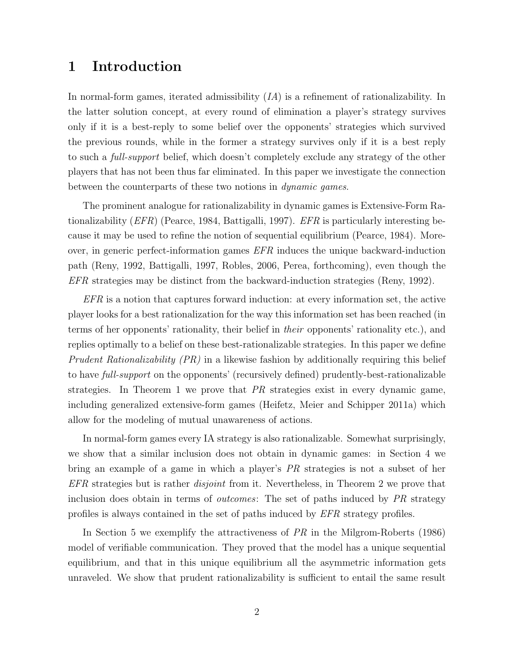# 1 Introduction

In normal-form games, iterated admissibility (*IA*) is a refinement of rationalizability. In the latter solution concept, at every round of elimination a player's strategy survives only if it is a best-reply to some belief over the opponents' strategies which survived the previous rounds, while in the former a strategy survives only if it is a best reply to such a *full-support* belief, which doesn't completely exclude any strategy of the other players that has not been thus far eliminated. In this paper we investigate the connection between the counterparts of these two notions in *dynamic games*.

The prominent analogue for rationalizability in dynamic games is Extensive-Form Rationalizability (*EFR*) (Pearce, 1984, Battigalli, 1997). *EFR* is particularly interesting because it may be used to refine the notion of sequential equilibrium (Pearce, 1984). Moreover, in generic perfect-information games *EFR* induces the unique backward-induction path (Reny, 1992, Battigalli, 1997, Robles, 2006, Perea, forthcoming), even though the *EFR* strategies may be distinct from the backward-induction strategies (Reny, 1992).

*EFR* is a notion that captures forward induction: at every information set, the active player looks for a best rationalization for the way this information set has been reached (in terms of her opponents' rationality, their belief in *their* opponents' rationality etc.), and replies optimally to a belief on these best-rationalizable strategies. In this paper we define *Prudent Rationalizability (PR)* in a likewise fashion by additionally requiring this belief to have *full-support* on the opponents' (recursively defined) prudently-best-rationalizable strategies. In Theorem 1 we prove that *PR* strategies exist in every dynamic game, including generalized extensive-form games (Heifetz, Meier and Schipper 2011a) which allow for the modeling of mutual unawareness of actions.

In normal-form games every IA strategy is also rationalizable. Somewhat surprisingly, we show that a similar inclusion does not obtain in dynamic games: in Section 4 we bring an example of a game in which a player's *PR* strategies is not a subset of her *EFR* strategies but is rather *disjoint* from it. Nevertheless, in Theorem 2 we prove that inclusion does obtain in terms of *outcomes*: The set of paths induced by *PR* strategy profiles is always contained in the set of paths induced by *EFR* strategy profiles.

In Section 5 we exemplify the attractiveness of *PR* in the Milgrom-Roberts (1986) model of verifiable communication. They proved that the model has a unique sequential equilibrium, and that in this unique equilibrium all the asymmetric information gets unraveled. We show that prudent rationalizability is sufficient to entail the same result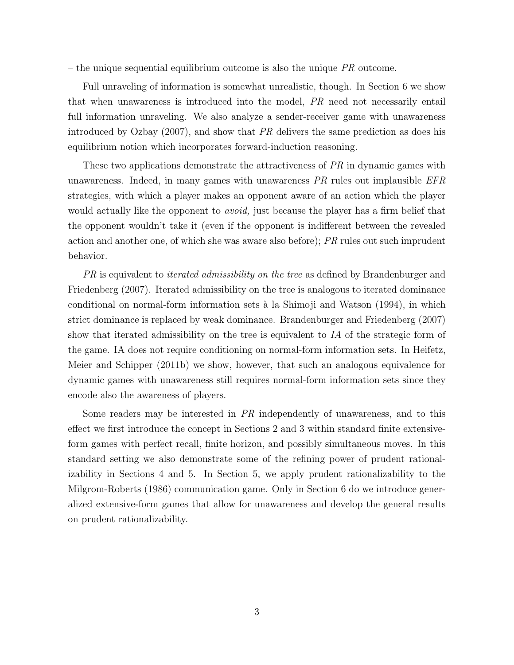– the unique sequential equilibrium outcome is also the unique *PR* outcome.

Full unraveling of information is somewhat unrealistic, though. In Section 6 we show that when unawareness is introduced into the model, *PR* need not necessarily entail full information unraveling. We also analyze a sender-receiver game with unawareness introduced by Ozbay (2007), and show that *PR* delivers the same prediction as does his equilibrium notion which incorporates forward-induction reasoning.

These two applications demonstrate the attractiveness of *PR* in dynamic games with unawareness. Indeed, in many games with unawareness *PR* rules out implausible *EFR* strategies, with which a player makes an opponent aware of an action which the player would actually like the opponent to *avoid,* just because the player has a firm belief that the opponent wouldn't take it (even if the opponent is indifferent between the revealed action and another one, of which she was aware also before); *PR* rules out such imprudent behavior.

*PR* is equivalent to *iterated admissibility on the tree* as defined by Brandenburger and Friedenberg (2007). Iterated admissibility on the tree is analogous to iterated dominance conditional on normal-form information sets `a la Shimoji and Watson (1994), in which strict dominance is replaced by weak dominance. Brandenburger and Friedenberg (2007) show that iterated admissibility on the tree is equivalent to *IA* of the strategic form of the game. IA does not require conditioning on normal-form information sets. In Heifetz, Meier and Schipper (2011b) we show, however, that such an analogous equivalence for dynamic games with unawareness still requires normal-form information sets since they encode also the awareness of players.

Some readers may be interested in *PR* independently of unawareness, and to this effect we first introduce the concept in Sections 2 and 3 within standard finite extensiveform games with perfect recall, finite horizon, and possibly simultaneous moves. In this standard setting we also demonstrate some of the refining power of prudent rationalizability in Sections 4 and 5. In Section 5, we apply prudent rationalizability to the Milgrom-Roberts (1986) communication game. Only in Section 6 do we introduce generalized extensive-form games that allow for unawareness and develop the general results on prudent rationalizability.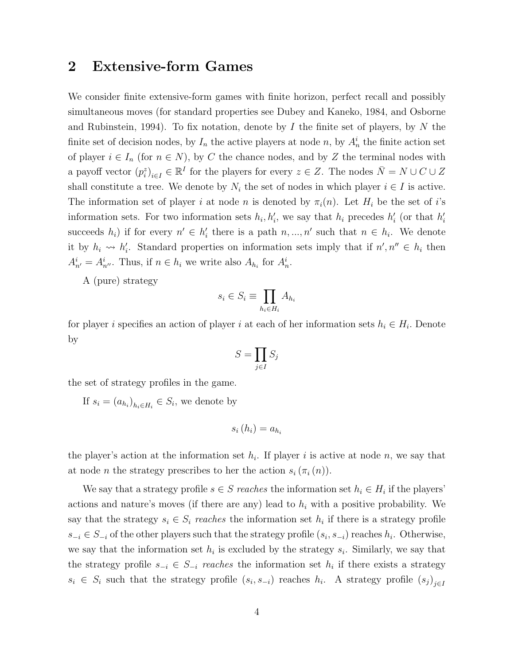# 2 Extensive-form Games

We consider finite extensive-form games with finite horizon, perfect recall and possibly simultaneous moves (for standard properties see Dubey and Kaneko, 1984, and Osborne and Rubinstein, 1994). To fix notation, denote by I the finite set of players, by N the finite set of decision nodes, by  $I_n$  the active players at node n, by  $A_n^i$  the finite action set of player  $i \in I_n$  (for  $n \in N$ ), by C the chance nodes, and by Z the terminal nodes with a payoff vector  $(p_i^z)_{i \in I} \in \mathbb{R}^I$  for the players for every  $z \in Z$ . The nodes  $\bar{N} = N \cup C \cup Z$ shall constitute a tree. We denote by  $N_i$  the set of nodes in which player  $i \in I$  is active. The information set of player i at node n is denoted by  $\pi_i(n)$ . Let  $H_i$  be the set of i's information sets. For two information sets  $h_i, h'_i$ , we say that  $h_i$  precedes  $h'_i$  (or that  $h'_i$ succeeds  $h_i$ ) if for every  $n' \in h'_i$  there is a path  $n, ..., n'$  such that  $n \in h_i$ . We denote it by  $h_i \rightsquigarrow h'_i$ . Standard properties on information sets imply that if  $n', n'' \in h_i$  then  $A_{n'}^i = A_{n''}^i$ . Thus, if  $n \in h_i$  we write also  $A_{h_i}$  for  $A_n^i$ .

A (pure) strategy

$$
s_i \in S_i \equiv \prod_{h_i \in H_i} A_{h_i}
$$

for player i specifies an action of player i at each of her information sets  $h_i \in H_i$ . Denote by

$$
S = \prod_{j \in I} S_j
$$

the set of strategy profiles in the game.

If  $s_i = (a_{h_i})_{h_i \in H_i} \in S_i$ , we denote by

$$
s_i(h_i) = a_{h_i}
$$

the player's action at the information set  $h_i$ . If player i is active at node n, we say that at node *n* the strategy prescribes to her the action  $s_i(\pi_i(n))$ .

We say that a strategy profile  $s \in S$  reaches the information set  $h_i \in H_i$  if the players' actions and nature's moves (if there are any) lead to  $h_i$  with a positive probability. We say that the strategy  $s_i \in S_i$  reaches the information set  $h_i$  if there is a strategy profile  $s_{-i} \in S_{-i}$  of the other players such that the strategy profile  $(s_i, s_{-i})$  reaches  $h_i$ . Otherwise, we say that the information set  $h_i$  is excluded by the strategy  $s_i$ . Similarly, we say that the strategy profile  $s_{-i} \in S_{-i}$  reaches the information set  $h_i$  if there exists a strategy  $s_i \in S_i$  such that the strategy profile  $(s_i, s_{-i})$  reaches  $h_i$ . A strategy profile  $(s_j)_{j\in I}$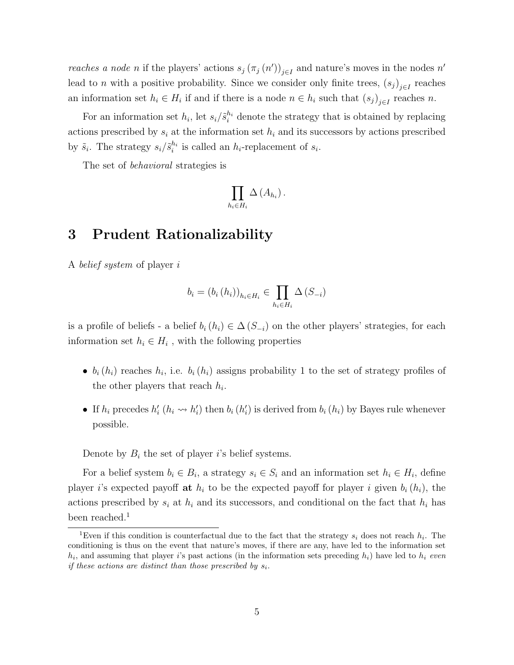*reaches a node n* if the players' actions  $s_j(\pi_j(n'))_{j\in I}$  and nature's moves in the nodes n' lead to *n* with a positive probability. Since we consider only finite trees,  $(s_j)_{j\in I}$  reaches an information set  $h_i \in H_i$  if and if there is a node  $n \in h_i$  such that  $(s_j)_{j \in I}$  reaches n.

For an information set  $h_i$ , let  $s_i/\tilde{s}_i^{h_i}$  denote the strategy that is obtained by replacing actions prescribed by  $s_i$  at the information set  $h_i$  and its successors by actions prescribed by  $\tilde{s}_i$ . The strategy  $s_i/\tilde{s}_i^{h_i}$  is called an  $h_i$ -replacement of  $s_i$ .

The set of *behavioral* strategies is

$$
\prod_{h_i\in H_i}\Delta\left(A_{h_i}\right).
$$

# 3 Prudent Rationalizability

A *belief system* of player i

$$
b_i = (b_i (h_i))_{h_i \in H_i} \in \prod_{h_i \in H_i} \Delta (S_{-i})
$$

is a profile of beliefs - a belief  $b_i(h_i) \in \Delta(S_{-i})$  on the other players' strategies, for each information set  $h_i \in H_i$ , with the following properties

- $b_i(h_i)$  reaches  $h_i$ , i.e.  $b_i(h_i)$  assigns probability 1 to the set of strategy profiles of the other players that reach  $h_i$ .
- If  $h_i$  precedes  $h'_i$  ( $h_i \leadsto h'_i$ ) then  $b_i$  ( $h'_i$ ) is derived from  $b_i$  ( $h_i$ ) by Bayes rule whenever possible.

Denote by  $B_i$  the set of player i's belief systems.

For a belief system  $b_i \in B_i$ , a strategy  $s_i \in S_i$  and an information set  $h_i \in H_i$ , define player i's expected payoff at  $h_i$  to be the expected payoff for player i given  $b_i(h_i)$ , the actions prescribed by  $s_i$  at  $h_i$  and its successors, and conditional on the fact that  $h_i$  has been reached.<sup>1</sup>

<sup>&</sup>lt;sup>1</sup>Even if this condition is counterfactual due to the fact that the strategy  $s_i$  does not reach  $h_i$ . The conditioning is thus on the event that nature's moves, if there are any, have led to the information set  $h_i$ , and assuming that player i's past actions (in the information sets preceding  $h_i$ ) have led to  $h_i$  even if these actions are distinct than those prescribed by  $s_i$ .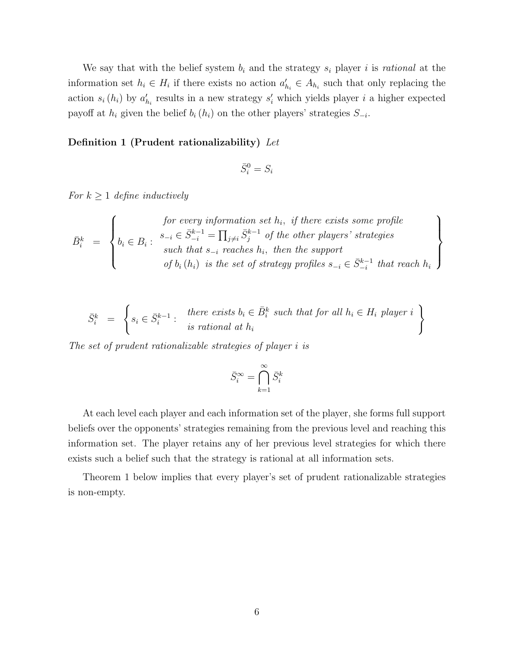We say that with the belief system  $b_i$  and the strategy  $s_i$  player i is *rational* at the information set  $h_i \in H_i$  if there exists no action  $a'_{h_i} \in A_{h_i}$  such that only replacing the action  $s_i(h_i)$  by  $a'_{h_i}$  results in a new strategy  $s'_i$  which yields player i a higher expected payoff at  $h_i$  given the belief  $b_i(h_i)$  on the other players' strategies  $S_{-i}$ .

#### Definition 1 (Prudent rationalizability) *Let*

$$
\bar{S}_i^0 = S_i
$$

*For*  $k \geq 1$  *define inductively* 

$$
\bar{B}_i^k = \left\{ \begin{matrix} \text{for every information set } h_i, \text{ if there exists some profile} \\ b_i \in B_i : \begin{array}{c} s_{-i} \in \bar{S}_{-i}^{k-1} = \prod_{j \neq i} \bar{S}_j^{k-1} \text{ of the other players' strategies} \\ \text{such that } s_{-i} \text{ reaches } h_i, \text{ then the support} \\ \text{of } b_i(h_i) \text{ is the set of strategy profiles } s_{-i} \in \bar{S}_{-i}^{k-1} \text{ that reach } h_i \end{array} \right\}
$$

$$
\bar{S}_i^k = \left\{ s_i \in \bar{S}_i^{k-1} : \begin{array}{c} \text{there exists } b_i \in \bar{B}_i^k \text{ such that for all } h_i \in H_i \text{ player } i \\ \text{is rational at } h_i \end{array} \right\}
$$

*The set of prudent rationalizable strategies of player* i *is*

$$
\bar{S}_i^{\infty} = \bigcap_{k=1}^{\infty} \bar{S}_i^k
$$

At each level each player and each information set of the player, she forms full support beliefs over the opponents' strategies remaining from the previous level and reaching this information set. The player retains any of her previous level strategies for which there exists such a belief such that the strategy is rational at all information sets.

Theorem 1 below implies that every player's set of prudent rationalizable strategies is non-empty.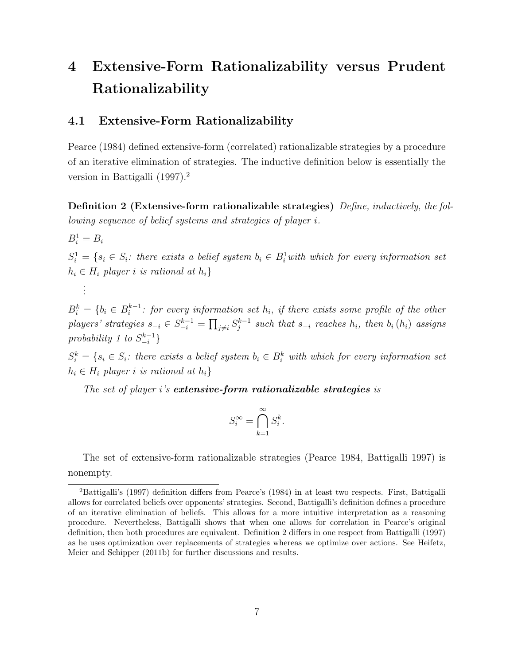# 4 Extensive-Form Rationalizability versus Prudent Rationalizability

### 4.1 Extensive-Form Rationalizability

Pearce (1984) defined extensive-form (correlated) rationalizable strategies by a procedure of an iterative elimination of strategies. The inductive definition below is essentially the version in Battigalli (1997).<sup>2</sup>

Definition 2 (Extensive-form rationalizable strategies) *Define, inductively, the following sequence of belief systems and strategies of player* i*.*

 $B_i^1 = B_i$ 

*. . .*

 $S_i^1 = \{s_i \in S_i: \text{ there exists a belief system } b_i \in B_i^1 \text{ with which for every information set } \}$  $h<sub>i</sub> ∈ H<sub>i</sub> player i is rational at h<sub>i</sub>$ 

 $B_i^k = \{b_i \in B_i^{k-1}$ : for every information set  $h_i$ , if there exists some profile of the other  $players' strategies s_{-i} \in S_{-i}^{k-1} = \prod_{j \neq i} S_j^{k-1} such that s_{-i} reaches h_i, then b_i(h_i) assigns$  $probability$  1 to  $S_{-i}^{k-1}$  $\begin{bmatrix} k-1 \\ -i \end{bmatrix}$ 

 $S_i^k = \{s_i \in S_i: \text{ there exists a belief system } b_i \in B_i^k \text{ with which for every information set } \}$  $h_i \in H_i$  *player i is rational at*  $h_i$ }

*The set of player* i*'s* extensive-form rationalizable strategies *is*

$$
S_i^{\infty} = \bigcap_{k=1}^{\infty} S_i^k.
$$

The set of extensive-form rationalizable strategies (Pearce 1984, Battigalli 1997) is nonempty.

<sup>&</sup>lt;sup>2</sup>Battigalli's (1997) definition differs from Pearce's (1984) in at least two respects. First, Battigalli allows for correlated beliefs over opponents' strategies. Second, Battigalli's definition defines a procedure of an iterative elimination of beliefs. This allows for a more intuitive interpretation as a reasoning procedure. Nevertheless, Battigalli shows that when one allows for correlation in Pearce's original definition, then both procedures are equivalent. Definition 2 differs in one respect from Battigalli (1997) as he uses optimization over replacements of strategies whereas we optimize over actions. See Heifetz, Meier and Schipper (2011b) for further discussions and results.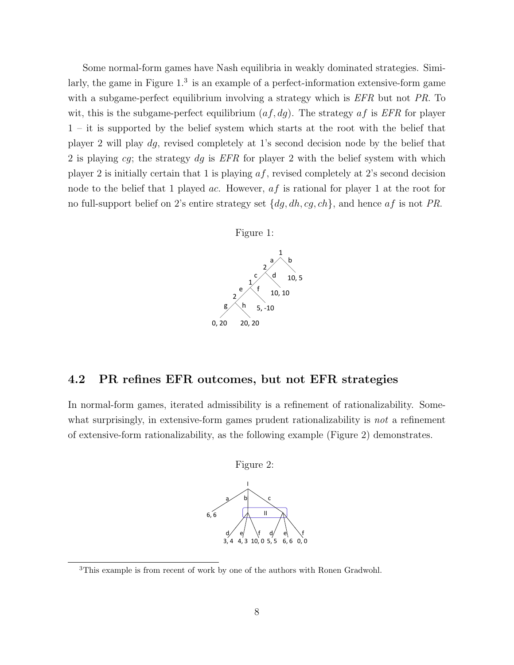Some normal-form games have Nash equilibria in weakly dominated strategies. Similarly, the game in Figure  $1<sup>3</sup>$  is an example of a perfect-information extensive-form game with a subgame-perfect equilibrium involving a strategy which is *EFR* but not *PR*. To wit, this is the subgame-perfect equilibrium (af, dg). The strategy af is *EFR* for player 1 – it is supported by the belief system which starts at the root with the belief that player 2 will play dg, revised completely at 1's second decision node by the belief that 2 is playing cg; the strategy dg is *EFR* for player 2 with the belief system with which player 2 is initially certain that 1 is playing  $af$ , revised completely at 2's second decision node to the belief that 1 played *ac*. However, *af* is rational for player 1 at the root for no full-support belief on 2's entire strategy set {dg, dh, cg, ch}, and hence af is not *PR*.



## 4.2 PR refines EFR outcomes, but not EFR strategies

In normal-form games, iterated admissibility is a refinement of rationalizability. Somewhat surprisingly, in extensive-form games prudent rationalizability is *not* a refinement of extensive-form rationalizability, as the following example (Figure 2) demonstrates.



<sup>3</sup>This example is from recent of work by one of the authors with Ronen Gradwohl.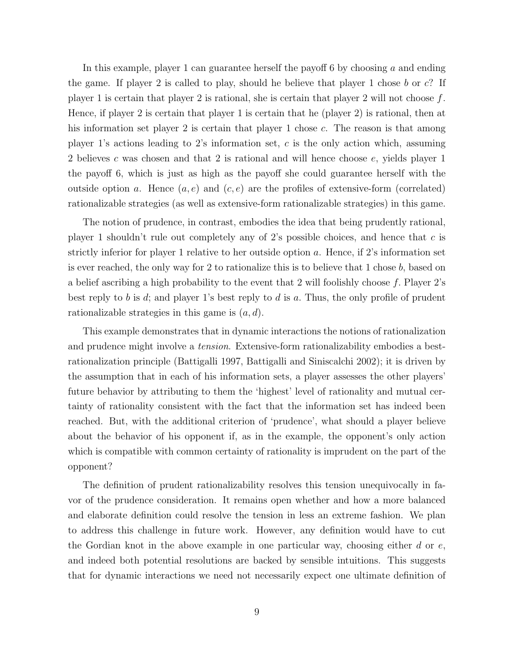In this example, player 1 can guarantee herself the payoff 6 by choosing a and ending the game. If player 2 is called to play, should he believe that player 1 chose b or  $c$ ? If player 1 is certain that player 2 is rational, she is certain that player 2 will not choose  $f$ . Hence, if player 2 is certain that player 1 is certain that he (player 2) is rational, then at his information set player 2 is certain that player 1 chose c. The reason is that among player 1's actions leading to 2's information set, c is the only action which, assuming 2 believes c was chosen and that 2 is rational and will hence choose e, yields player 1 the payoff 6, which is just as high as the payoff she could guarantee herself with the outside option a. Hence  $(a, e)$  and  $(c, e)$  are the profiles of extensive-form (correlated) rationalizable strategies (as well as extensive-form rationalizable strategies) in this game.

The notion of prudence, in contrast, embodies the idea that being prudently rational, player 1 shouldn't rule out completely any of 2's possible choices, and hence that  $c$  is strictly inferior for player 1 relative to her outside option a. Hence, if 2's information set is ever reached, the only way for 2 to rationalize this is to believe that 1 chose b, based on a belief ascribing a high probability to the event that 2 will foolishly choose f. Player 2's best reply to b is d; and player 1's best reply to d is a. Thus, the only profile of prudent rationalizable strategies in this game is  $(a, d)$ .

This example demonstrates that in dynamic interactions the notions of rationalization and prudence might involve a *tension*. Extensive-form rationalizability embodies a bestrationalization principle (Battigalli 1997, Battigalli and Siniscalchi 2002); it is driven by the assumption that in each of his information sets, a player assesses the other players' future behavior by attributing to them the 'highest' level of rationality and mutual certainty of rationality consistent with the fact that the information set has indeed been reached. But, with the additional criterion of 'prudence', what should a player believe about the behavior of his opponent if, as in the example, the opponent's only action which is compatible with common certainty of rationality is imprudent on the part of the opponent?

The definition of prudent rationalizability resolves this tension unequivocally in favor of the prudence consideration. It remains open whether and how a more balanced and elaborate definition could resolve the tension in less an extreme fashion. We plan to address this challenge in future work. However, any definition would have to cut the Gordian knot in the above example in one particular way, choosing either  $d$  or  $e$ , and indeed both potential resolutions are backed by sensible intuitions. This suggests that for dynamic interactions we need not necessarily expect one ultimate definition of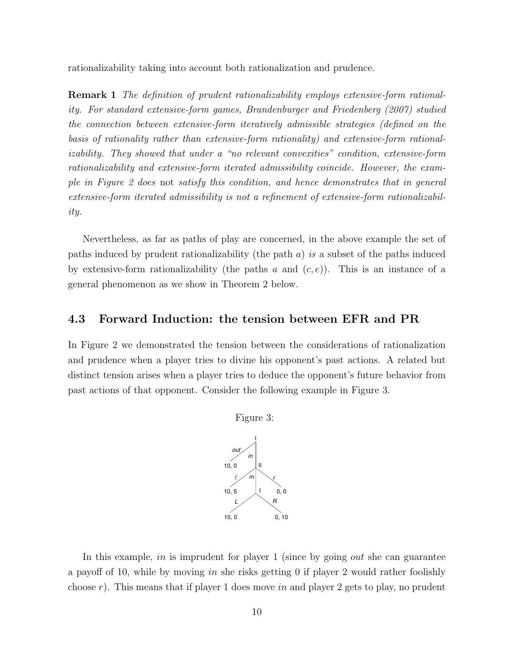rationalizability taking into account both rationalization and prudence.

Remark 1 *The definition of prudent rationalizability employs extensive-form rationality. For standard extensive-form games, Brandenburger and Friedenberg (2007) studied the connection between extensive-form iteratively admissible strategies (defined on the basis of rationality rather than extensive-form rationality) and extensive-form rationalizability. They showed that under a "no relevant convexities" condition, extensive-form rationalizability and extensive-form iterated admissibility coincide. However, the example in Figure 2 does* not *satisfy this condition, and hence demonstrates that in general extensive-form iterated admissibility is not a refinement of extensive-form rationalizability.*

Nevertheless, as far as paths of play are concerned, in the above example the set of paths induced by prudent rationalizability (the path a) *is* a subset of the paths induced by extensive-form rationalizability (the paths a and  $(c, e)$ ). This is an instance of a general phenomenon as we show in Theorem 2 below.

### 4.3 Forward Induction: the tension between EFR and PR

In Figure 2 we demonstrated the tension between the considerations of rationalization and prudence when a player tries to divine his opponent's past actions. A related but distinct tension arises when a player tries to deduce the opponent's future behavior from past actions of that opponent. Consider the following example in Figure 3.



In this example, in is imprudent for player 1 (since by going *out* she can guarantee a payoff of 10, while by moving in she risks getting 0 if player 2 would rather foolishly choose r). This means that if player 1 does move in and player 2 gets to play, no prudent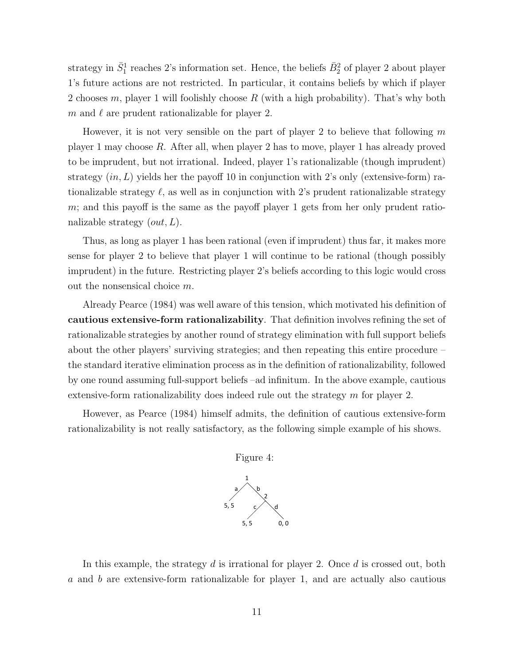strategy in  $\bar{S}_1^1$  reaches 2's information set. Hence, the beliefs  $\bar{B}_2^2$  of player 2 about player 1's future actions are not restricted. In particular, it contains beliefs by which if player 2 chooses m, player 1 will foolishly choose R (with a high probability). That's why both m and  $\ell$  are prudent rationalizable for player 2.

However, it is not very sensible on the part of player 2 to believe that following  $m$ player 1 may choose R. After all, when player 2 has to move, player 1 has already proved to be imprudent, but not irrational. Indeed, player 1's rationalizable (though imprudent) strategy  $(in, L)$  yields her the payoff 10 in conjunction with 2's only (extensive-form) rationalizable strategy  $\ell$ , as well as in conjunction with 2's prudent rationalizable strategy  $m$ ; and this payoff is the same as the payoff player 1 gets from her only prudent rationalizable strategy  $(out, L)$ .

Thus, as long as player 1 has been rational (even if imprudent) thus far, it makes more sense for player 2 to believe that player 1 will continue to be rational (though possibly imprudent) in the future. Restricting player 2's beliefs according to this logic would cross out the nonsensical choice m.

Already Pearce (1984) was well aware of this tension, which motivated his definition of cautious extensive-form rationalizability. That definition involves refining the set of rationalizable strategies by another round of strategy elimination with full support beliefs about the other players' surviving strategies; and then repeating this entire procedure – the standard iterative elimination process as in the definition of rationalizability, followed by one round assuming full-support beliefs –ad infinitum. In the above example, cautious extensive-form rationalizability does indeed rule out the strategy  $m$  for player 2.

However, as Pearce (1984) himself admits, the definition of cautious extensive-form rationalizability is not really satisfactory, as the following simple example of his shows.



Figure 4:

In this example, the strategy  $d$  is irrational for player 2. Once  $d$  is crossed out, both a and b are extensive-form rationalizable for player 1, and are actually also cautious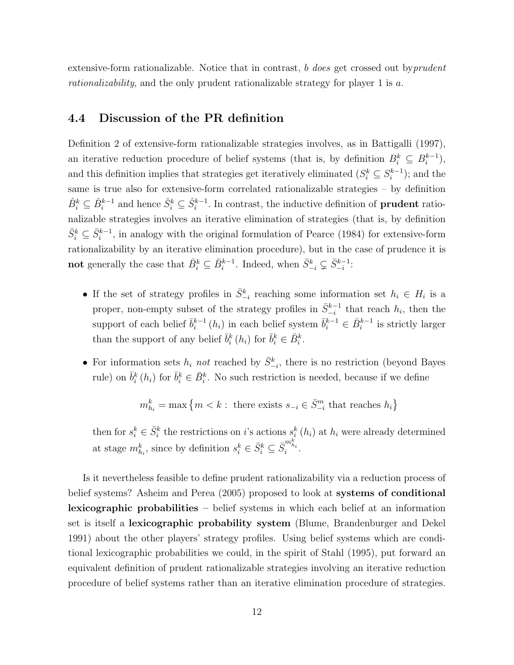extensive-form rationalizable. Notice that in contrast, b *does* get crossed out by*prudent rationalizability*, and the only prudent rationalizable strategy for player 1 is a.

### 4.4 Discussion of the PR definition

Definition 2 of extensive-form rationalizable strategies involves, as in Battigalli (1997), an iterative reduction procedure of belief systems (that is, by definition  $B_i^k \subseteq B_i^{k-1}$ ), and this definition implies that strategies get iteratively eliminated  $(S_i^k \subseteq S_i^{k-1})$ ; and the same is true also for extensive-form correlated rationalizable strategies – by definition  $\hat{B}_i^k \subseteq \hat{B}_i^{k-1}$  and hence  $\hat{S}_i^k \subseteq \hat{S}_i^{k-1}$ . In contrast, the inductive definition of **prudent** rationalizable strategies involves an iterative elimination of strategies (that is, by definition  $\bar{S}_i^k \subseteq \bar{S}_i^{k-1}$ , in analogy with the original formulation of Pearce (1984) for extensive-form rationalizability by an iterative elimination procedure), but in the case of prudence it is not generally the case that  $\bar{B}_i^k \subseteq \bar{B}_i^{k-1}$ . Indeed, when  $\bar{S}_{-i}^k \subsetneq \bar{S}_{-i}^{k-1}$ :

- If the set of strategy profiles in  $\bar{S}_{-i}^k$  reaching some information set  $h_i \in H_i$  is a proper, non-empty subset of the strategy profiles in  $\bar{S}_{-i}^{k-1}$  that reach  $h_i$ , then the support of each belief  $\bar{b}_i^{k-1}(h_i)$  in each belief system  $\bar{b}_i^{k-1} \in \bar{B}_i^{k-1}$  is strictly larger than the support of any belief  $\bar{b}_i^k(h_i)$  for  $\bar{b}_i^k \in \bar{B}_i^k$ .
- For information sets  $h_i$  *not* reached by  $\bar{S}_{-i}^k$ , there is no restriction (beyond Bayes rule) on  $\bar{b}_i^k(h_i)$  for  $\bar{b}_i^k \in \bar{B}_i^k$ . No such restriction is needed, because if we define

 $m_{h_i}^k = \max \left\{m < k : \text{ there exists } s_{-i} \in \bar{S}_{-i}^m \text{ that reaches } h_i \right\}$ 

then for  $s_i^k \in \bar{S}_i^k$  the restrictions on i's actions  $s_i^k(h_i)$  at  $h_i$  were already determined at stage  $m_{h_i}^k$ , since by definition  $s_i^k \in \bar{S}_i^k \subseteq \bar{S}_i^{m_{h_i}^k}$ .

Is it nevertheless feasible to define prudent rationalizability via a reduction process of belief systems? Asheim and Perea (2005) proposed to look at systems of conditional lexicographic probabilities – belief systems in which each belief at an information set is itself a lexicographic probability system (Blume, Brandenburger and Dekel 1991) about the other players' strategy profiles. Using belief systems which are conditional lexicographic probabilities we could, in the spirit of Stahl (1995), put forward an equivalent definition of prudent rationalizable strategies involving an iterative reduction procedure of belief systems rather than an iterative elimination procedure of strategies.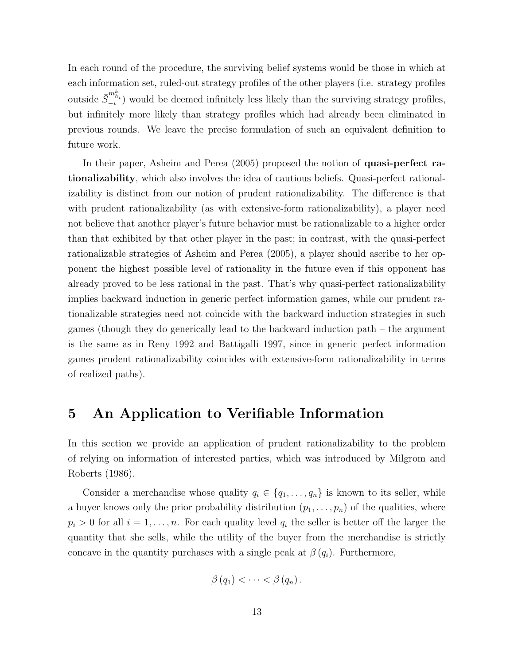In each round of the procedure, the surviving belief systems would be those in which at each information set, ruled-out strategy profiles of the other players (i.e. strategy profiles outside  $\bar{S}_{-i}^{m_{h_i}^k}$  would be deemed infinitely less likely than the surviving strategy profiles, but infinitely more likely than strategy profiles which had already been eliminated in previous rounds. We leave the precise formulation of such an equivalent definition to future work.

In their paper, Asheim and Perea (2005) proposed the notion of quasi-perfect rationalizability, which also involves the idea of cautious beliefs. Quasi-perfect rationalizability is distinct from our notion of prudent rationalizability. The difference is that with prudent rationalizability (as with extensive-form rationalizability), a player need not believe that another player's future behavior must be rationalizable to a higher order than that exhibited by that other player in the past; in contrast, with the quasi-perfect rationalizable strategies of Asheim and Perea (2005), a player should ascribe to her opponent the highest possible level of rationality in the future even if this opponent has already proved to be less rational in the past. That's why quasi-perfect rationalizability implies backward induction in generic perfect information games, while our prudent rationalizable strategies need not coincide with the backward induction strategies in such games (though they do generically lead to the backward induction path – the argument is the same as in Reny 1992 and Battigalli 1997, since in generic perfect information games prudent rationalizability coincides with extensive-form rationalizability in terms of realized paths).

# 5 An Application to Verifiable Information

In this section we provide an application of prudent rationalizability to the problem of relying on information of interested parties, which was introduced by Milgrom and Roberts (1986).

Consider a merchandise whose quality  $q_i \in \{q_1, \ldots, q_n\}$  is known to its seller, while a buyer knows only the prior probability distribution  $(p_1, \ldots, p_n)$  of the qualities, where  $p_i > 0$  for all  $i = 1, \ldots, n$ . For each quality level  $q_i$  the seller is better off the larger the quantity that she sells, while the utility of the buyer from the merchandise is strictly concave in the quantity purchases with a single peak at  $\beta(q_i)$ . Furthermore,

$$
\beta(q_1)<\cdots<\beta(q_n).
$$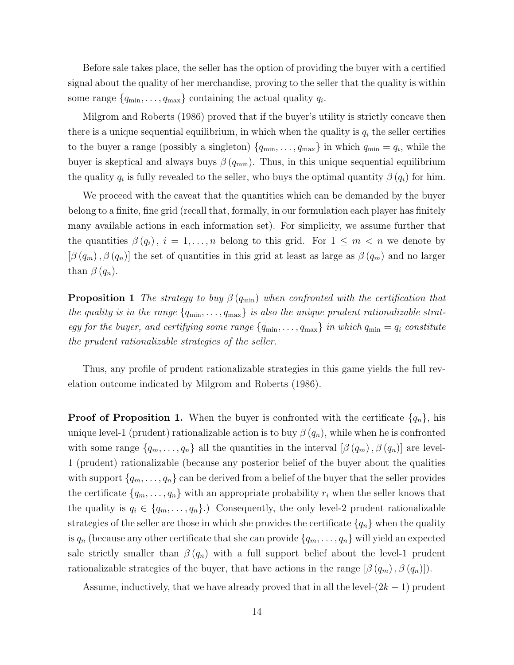Before sale takes place, the seller has the option of providing the buyer with a certified signal about the quality of her merchandise, proving to the seller that the quality is within some range  ${q_{\min}, \ldots, q_{\max}}$  containing the actual quality  $q_i$ .

Milgrom and Roberts (1986) proved that if the buyer's utility is strictly concave then there is a unique sequential equilibrium, in which when the quality is  $q_i$  the seller certifies to the buyer a range (possibly a singleton)  $\{q_{\min}, \ldots, q_{\max}\}\$ in which  $q_{\min} = q_i$ , while the buyer is skeptical and always buys  $\beta(q_{min})$ . Thus, in this unique sequential equilibrium the quality  $q_i$  is fully revealed to the seller, who buys the optimal quantity  $\beta(q_i)$  for him.

We proceed with the caveat that the quantities which can be demanded by the buyer belong to a finite, fine grid (recall that, formally, in our formulation each player has finitely many available actions in each information set). For simplicity, we assume further that the quantities  $\beta(q_i)$ ,  $i = 1, ..., n$  belong to this grid. For  $1 \leq m < n$  we denote by  $[\beta(q_m), \beta(q_n)]$  the set of quantities in this grid at least as large as  $\beta(q_m)$  and no larger than  $\beta(q_n)$ .

**Proposition 1** *The strategy to buy*  $\beta(q_{\min})$  *when confronted with the certification that the quality is in the range*  $\{q_{\min}, \ldots, q_{\max}\}$  *is also the unique prudent rationalizable strategy for the buyer, and certifying some range*  $\{q_{\min}, \ldots, q_{\max}\}\$  *in which*  $q_{\min} = q_i$  *constitute the prudent rationalizable strategies of the seller.*

Thus, any profile of prudent rationalizable strategies in this game yields the full revelation outcome indicated by Milgrom and Roberts (1986).

**Proof of Proposition 1.** When the buyer is confronted with the certificate  $\{q_n\}$ , his unique level-1 (prudent) rationalizable action is to buy  $\beta(q_n)$ , while when he is confronted with some range  $\{q_m, \ldots, q_n\}$  all the quantities in the interval  $[\beta(q_m), \beta(q_n)]$  are level-1 (prudent) rationalizable (because any posterior belief of the buyer about the qualities with support  $\{q_m, \ldots, q_n\}$  can be derived from a belief of the buyer that the seller provides the certificate  $\{q_m, \ldots, q_n\}$  with an appropriate probability  $r_i$  when the seller knows that the quality is  $q_i \in \{q_m, \ldots, q_n\}$ .) Consequently, the only level-2 prudent rationalizable strategies of the seller are those in which she provides the certificate  $\{q_n\}$  when the quality is  $q_n$  (because any other certificate that she can provide  $\{q_m, \ldots, q_n\}$  will yield an expected sale strictly smaller than  $\beta(q_n)$  with a full support belief about the level-1 prudent rationalizable strategies of the buyer, that have actions in the range  $[\beta(q_m), \beta(q_n)]$ .

Assume, inductively, that we have already proved that in all the level- $(2k-1)$  prudent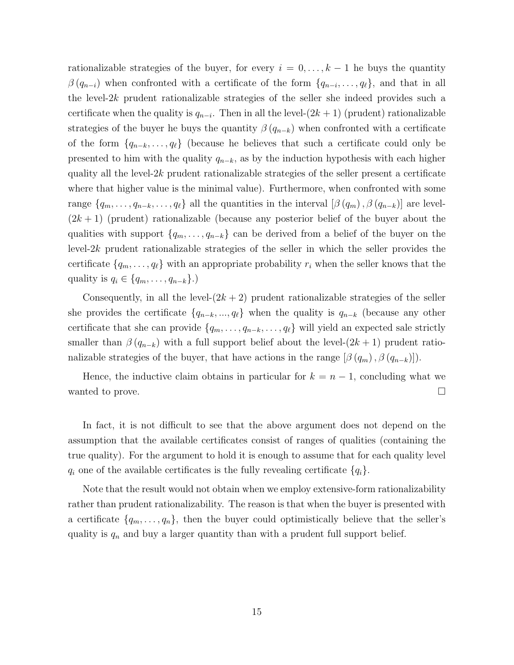rationalizable strategies of the buyer, for every  $i = 0, \ldots, k - 1$  he buys the quantity  $\beta(q_{n-i})$  when confronted with a certificate of the form  $\{q_{n-i}, \ldots, q_\ell\}$ , and that in all the level-2k prudent rationalizable strategies of the seller she indeed provides such a certificate when the quality is  $q_{n-i}$ . Then in all the level- $(2k + 1)$  (prudent) rationalizable strategies of the buyer he buys the quantity  $\beta(q_{n-k})$  when confronted with a certificate of the form  $\{q_{n-k}, \ldots, q_\ell\}$  (because he believes that such a certificate could only be presented to him with the quality  $q_{n-k}$ , as by the induction hypothesis with each higher quality all the level- $2k$  prudent rationalizable strategies of the seller present a certificate where that higher value is the minimal value). Furthermore, when confronted with some range  $\{q_m, \ldots, q_{n-k}, \ldots, q_\ell\}$  all the quantities in the interval  $[\beta(q_m), \beta(q_{n-k})]$  are level- $(2k+1)$  (prudent) rationalizable (because any posterior belief of the buyer about the qualities with support  $\{q_m, \ldots, q_{n-k}\}\)$  can be derived from a belief of the buyer on the level- $2k$  prudent rationalizable strategies of the seller in which the seller provides the certificate  $\{q_m, \ldots, q_\ell\}$  with an appropriate probability  $r_i$  when the seller knows that the quality is  $q_i \in \{q_m, \ldots, q_{n-k}\}\.$ 

Consequently, in all the level- $(2k + 2)$  prudent rationalizable strategies of the seller she provides the certificate  $\{q_{n-k}, ..., q_\ell\}$  when the quality is  $q_{n-k}$  (because any other certificate that she can provide  $\{q_m, \ldots, q_{n-k}, \ldots, q_\ell\}$  will yield an expected sale strictly smaller than  $\beta(q_{n-k})$  with a full support belief about the level- $(2k+1)$  prudent rationalizable strategies of the buyer, that have actions in the range  $[\beta(q_m), \beta(q_{n-k})]$ .

Hence, the inductive claim obtains in particular for  $k = n - 1$ , concluding what we wanted to prove.  $\Box$ 

In fact, it is not difficult to see that the above argument does not depend on the assumption that the available certificates consist of ranges of qualities (containing the true quality). For the argument to hold it is enough to assume that for each quality level  $q_i$  one of the available certificates is the fully revealing certificate  $\{q_i\}$ .

Note that the result would not obtain when we employ extensive-form rationalizability rather than prudent rationalizability. The reason is that when the buyer is presented with a certificate  $\{q_m, \ldots, q_n\}$ , then the buyer could optimistically believe that the seller's quality is  $q_n$  and buy a larger quantity than with a prudent full support belief.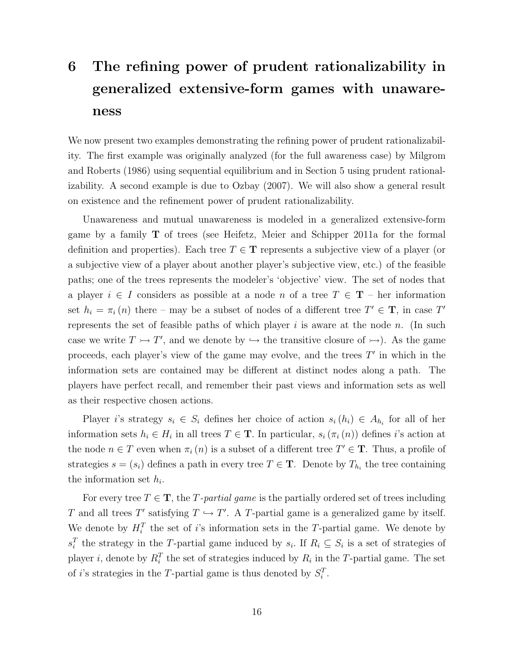# 6 The refining power of prudent rationalizability in generalized extensive-form games with unawareness

We now present two examples demonstrating the refining power of prudent rationalizability. The first example was originally analyzed (for the full awareness case) by Milgrom and Roberts (1986) using sequential equilibrium and in Section 5 using prudent rationalizability. A second example is due to Ozbay (2007). We will also show a general result on existence and the refinement power of prudent rationalizability.

Unawareness and mutual unawareness is modeled in a generalized extensive-form game by a family T of trees (see Heifetz, Meier and Schipper 2011a for the formal definition and properties). Each tree  $T \in \mathbf{T}$  represents a subjective view of a player (or a subjective view of a player about another player's subjective view, etc.) of the feasible paths; one of the trees represents the modeler's 'objective' view. The set of nodes that a player  $i \in I$  considers as possible at a node n of a tree  $T \in \mathbf{T}$  – her information set  $h_i = \pi_i(n)$  there – may be a subset of nodes of a different tree  $T' \in \mathbf{T}$ , in case  $T'$ represents the set of feasible paths of which player  $i$  is aware at the node  $n$ . (In such case we write  $T \rightarrowtail T'$ , and we denote by  $\hookrightarrow$  the transitive closure of  $\rightarrow$ ). As the game proceeds, each player's view of the game may evolve, and the trees  $T'$  in which in the information sets are contained may be different at distinct nodes along a path. The players have perfect recall, and remember their past views and information sets as well as their respective chosen actions.

Player i's strategy  $s_i \in S_i$  defines her choice of action  $s_i(h_i) \in A_{h_i}$  for all of her information sets  $h_i \in H_i$  in all trees  $T \in \mathbf{T}$ . In particular,  $s_i(\pi_i(n))$  defines *i*'s action at the node  $n \in T$  even when  $\pi_i(n)$  is a subset of a different tree  $T' \in \mathbf{T}$ . Thus, a profile of strategies  $s = (s_i)$  defines a path in every tree  $T \in \mathbf{T}$ . Denote by  $T_{h_i}$  the tree containing the information set  $h_i$ .

For every tree  $T \in \mathbf{T}$ , the T-partial game is the partially ordered set of trees including T and all trees T' satisfying  $T \hookrightarrow T'$ . A T-partial game is a generalized game by itself. We denote by  $H_i^T$  the set of i's information sets in the T-partial game. We denote by  $s_i^T$  the strategy in the T-partial game induced by  $s_i$ . If  $R_i \subseteq S_i$  is a set of strategies of player *i*, denote by  $R_i^T$  the set of strategies induced by  $R_i$  in the T-partial game. The set of *i*'s strategies in the T-partial game is thus denoted by  $S_i^T$ .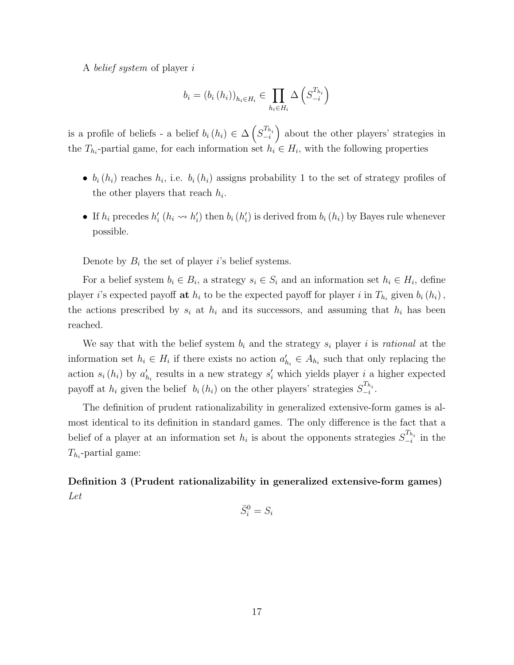A *belief system* of player i

$$
b_i = (b_i (h_i))_{h_i \in H_i} \in \prod_{h_i \in H_i} \Delta \left( S_{-i}^{T_{h_i}} \right)
$$

is a profile of beliefs - a belief  $b_i(h_i) \in \Delta \left( S_{-i}^{T_{h_i}} \right)$  about the other players' strategies in the  $T_{h_i}$ -partial game, for each information set  $h_i \in H_i$ , with the following properties

- $b_i(h_i)$  reaches  $h_i$ , i.e.  $b_i(h_i)$  assigns probability 1 to the set of strategy profiles of the other players that reach  $h_i$ .
- If  $h_i$  precedes  $h'_i$  ( $h_i \leadsto h'_i$ ) then  $b_i$  ( $h'_i$ ) is derived from  $b_i$  ( $h_i$ ) by Bayes rule whenever possible.

Denote by  $B_i$  the set of player i's belief systems.

For a belief system  $b_i \in B_i$ , a strategy  $s_i \in S_i$  and an information set  $h_i \in H_i$ , define player *i*'s expected payoff **at**  $h_i$  to be the expected payoff for player *i* in  $T_{h_i}$  given  $b_i(h_i)$ , the actions prescribed by  $s_i$  at  $h_i$  and its successors, and assuming that  $h_i$  has been reached.

We say that with the belief system  $b_i$  and the strategy  $s_i$  player i is *rational* at the information set  $h_i \in H_i$  if there exists no action  $a'_{h_i} \in A_{h_i}$  such that only replacing the action  $s_i(h_i)$  by  $a'_{h_i}$  results in a new strategy  $s'_i$  which yields player i a higher expected payoff at  $h_i$  given the belief  $b_i(h_i)$  on the other players' strategies  $S_{-i}^{T_{h_i}}$ .

The definition of prudent rationalizability in generalized extensive-form games is almost identical to its definition in standard games. The only difference is the fact that a belief of a player at an information set  $h_i$  is about the opponents strategies  $S_{-i}^{T_{h_i}}$  in the  $T_{h_i}$ -partial game:

Definition 3 (Prudent rationalizability in generalized extensive-form games) *Let*

$$
\bar{S}_i^0 = S_i
$$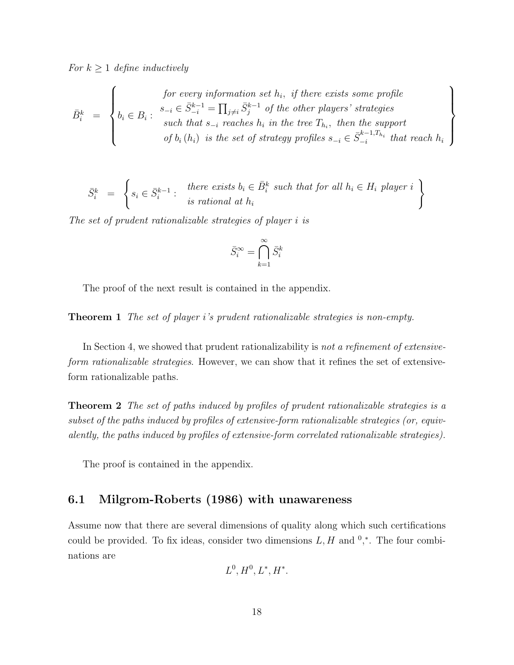*For*  $k \geq 1$  *define inductively* 

$$
\bar{B}_i^k = \left\{ \begin{aligned} &\text{for every information set } h_i, \text{ if there exists some profile} \\ b_i \in B_i: \begin{array}{l} s_{-i} \in \bar{S}_{-i}^{k-1} = \prod_{j \neq i} \bar{S}_j^{k-1} \text{ of the other players' strategies} \\ &\text{such that } s_{-i} \text{ reaches } h_i \text{ in the tree } T_{h_i}, \text{ then the support} \\ &\text{of } b_i(h_i) \text{ is the set of strategy profiles } s_{-i} \in \bar{S}_{-i}^{k-1, T_{h_i}} \text{ that reach } h_i \end{array} \right\}
$$

$$
\bar{S}_i^k = \left\{ s_i \in \bar{S}_i^{k-1} : \begin{array}{c} \text{there exists } b_i \in \bar{B}_i^k \text{ such that for all } h_i \in H_i \text{ player } i \\ \text{is rational at } h_i \end{array} \right\}
$$

*The set of prudent rationalizable strategies of player* i *is*

$$
\bar{S}_i^{\infty} = \bigcap_{k=1}^{\infty} \bar{S}_i^k
$$

The proof of the next result is contained in the appendix.

Theorem 1 *The set of player* i*'s prudent rationalizable strategies is non-empty.*

In Section 4, we showed that prudent rationalizability is *not a refinement of extensiveform rationalizable strategies*. However, we can show that it refines the set of extensiveform rationalizable paths.

Theorem 2 *The set of paths induced by profiles of prudent rationalizable strategies is a subset of the paths induced by profiles of extensive-form rationalizable strategies (or, equivalently, the paths induced by profiles of extensive-form correlated rationalizable strategies).*

The proof is contained in the appendix.

## 6.1 Milgrom-Roberts (1986) with unawareness

Assume now that there are several dimensions of quality along which such certifications could be provided. To fix ideas, consider two dimensions  $L, H$  and  $0, *$ . The four combinations are

$$
L^0, H^0, L^*, H^*.
$$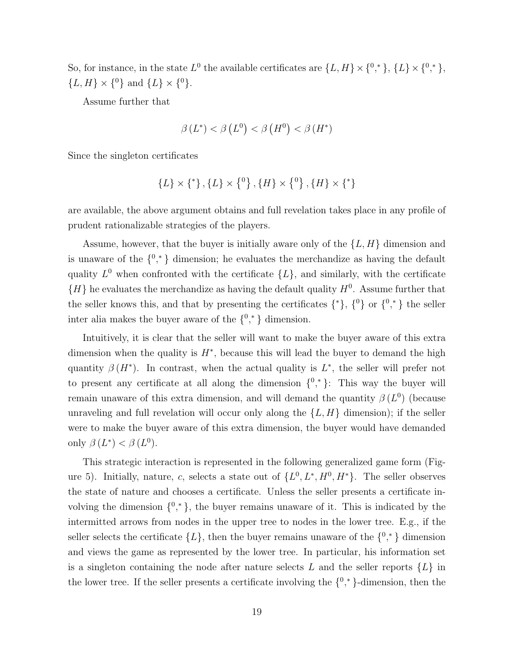So, for instance, in the state  $L^0$  the available certificates are  $\{L, H\} \times \{0, \infty\}$ ,  $\{L\} \times \{0, \infty\}$ ,  $\{L, H\} \times \{^0\}$  and  $\{L\} \times \{^0\}.$ 

Assume further that

$$
\beta(L^*) < \beta(L^0) < \beta(H^0) < \beta(H^*)
$$

Since the singleton certificates

$$
\{L\} \times \{^*\}, \{L\} \times \{^0\}, \{H\} \times \{^0\}, \{H\} \times \{^*\}
$$

are available, the above argument obtains and full revelation takes place in any profile of prudent rationalizable strategies of the players.

Assume, however, that the buyer is initially aware only of the  $\{L, H\}$  dimension and is unaware of the  $\{0, * \}$  dimension; he evaluates the merchandize as having the default quality  $L^0$  when confronted with the certificate  $\{L\}$ , and similarly, with the certificate  ${H}$  he evaluates the merchandize as having the default quality  $H^0$ . Assume further that the seller knows this, and that by presenting the certificates  $\{\ast\}, \{\{\}^0\}$  or  $\{\{\}^0, \ast\}$  the seller inter alia makes the buyer aware of the  $\{0, * \}$  dimension.

Intuitively, it is clear that the seller will want to make the buyer aware of this extra dimension when the quality is  $H^*$ , because this will lead the buyer to demand the high quantity  $\beta(H^*)$ . In contrast, when the actual quality is  $L^*$ , the seller will prefer not to present any certificate at all along the dimension  $\{0,^*\}$ : This way the buyer will remain unaware of this extra dimension, and will demand the quantity  $\beta(L^0)$  (because unraveling and full revelation will occur only along the  $\{L, H\}$  dimension); if the seller were to make the buyer aware of this extra dimension, the buyer would have demanded only  $\beta(L^*) < \beta(L^0)$ .

This strategic interaction is represented in the following generalized game form (Figure 5). Initially, nature, c, selects a state out of  $\{L^0, L^*, H^0, H^*\}$ . The seller observes the state of nature and chooses a certificate. Unless the seller presents a certificate involving the dimension  $\{0,^*\}$ , the buyer remains unaware of it. This is indicated by the intermitted arrows from nodes in the upper tree to nodes in the lower tree. E.g., if the seller selects the certificate  $\{L\}$ , then the buyer remains unaware of the  $\{0,^*\}$  dimension and views the game as represented by the lower tree. In particular, his information set is a singleton containing the node after nature selects  $L$  and the seller reports  $\{L\}$  in the lower tree. If the seller presents a certificate involving the  $\{0, * \}$ -dimension, then the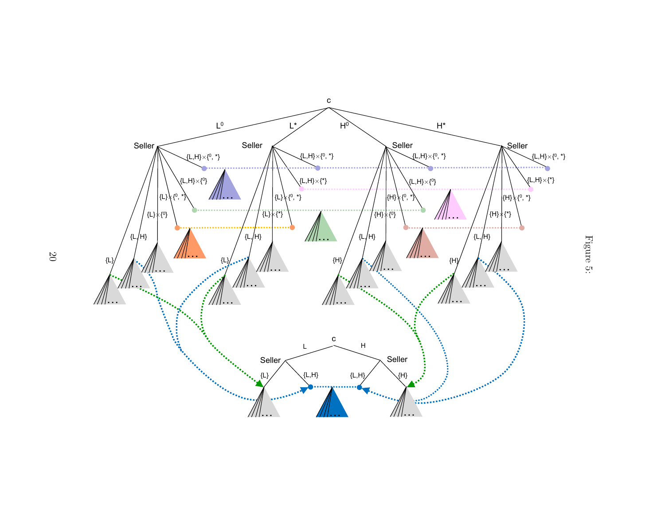

Figure 5: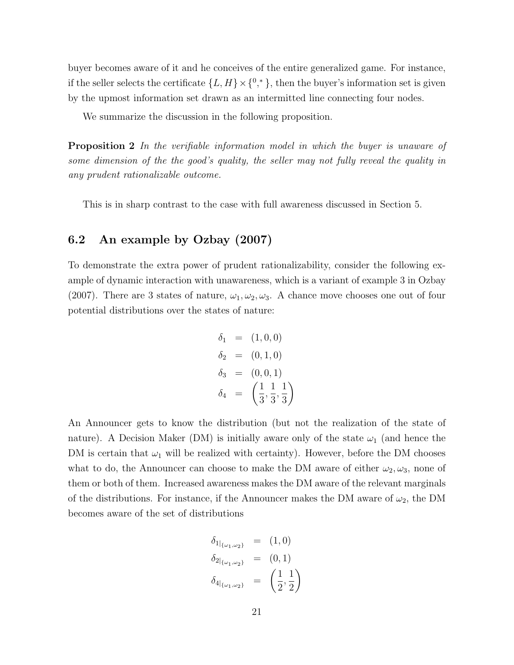buyer becomes aware of it and he conceives of the entire generalized game. For instance, if the seller selects the certificate  $\{L, H\} \times \{0, \infty\}$ , then the buyer's information set is given by the upmost information set drawn as an intermitted line connecting four nodes.

We summarize the discussion in the following proposition.

Proposition 2 *In the verifiable information model in which the buyer is unaware of some dimension of the the good's quality, the seller may not fully reveal the quality in any prudent rationalizable outcome.*

This is in sharp contrast to the case with full awareness discussed in Section 5.

## 6.2 An example by Ozbay (2007)

To demonstrate the extra power of prudent rationalizability, consider the following example of dynamic interaction with unawareness, which is a variant of example 3 in Ozbay (2007). There are 3 states of nature,  $\omega_1, \omega_2, \omega_3$ . A chance move chooses one out of four potential distributions over the states of nature:

$$
\delta_1 = (1, 0, 0) \n\delta_2 = (0, 1, 0) \n\delta_3 = (0, 0, 1) \n\delta_4 = \left(\frac{1}{3}, \frac{1}{3}, \frac{1}{3}\right)
$$

An Announcer gets to know the distribution (but not the realization of the state of nature). A Decision Maker (DM) is initially aware only of the state  $\omega_1$  (and hence the DM is certain that  $\omega_1$  will be realized with certainty). However, before the DM chooses what to do, the Announcer can choose to make the DM aware of either  $\omega_2, \omega_3$ , none of them or both of them. Increased awareness makes the DM aware of the relevant marginals of the distributions. For instance, if the Announcer makes the DM aware of  $\omega_2$ , the DM becomes aware of the set of distributions

$$
\delta_{1|_{\{\omega_1,\omega_2\}}} = (1,0)
$$
  
\n
$$
\delta_{2|_{\{\omega_1,\omega_2\}}} = (0,1)
$$
  
\n
$$
\delta_{4|_{\{\omega_1,\omega_2\}}} = \left(\frac{1}{2},\frac{1}{2}\right)
$$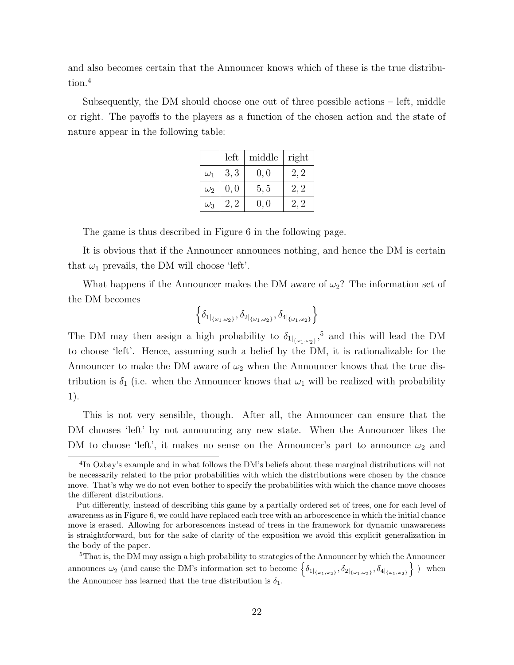and also becomes certain that the Announcer knows which of these is the true distribution.<sup>4</sup>

Subsequently, the DM should choose one out of three possible actions – left, middle or right. The payoffs to the players as a function of the chosen action and the state of nature appear in the following table:

|            | left | middle | right |
|------------|------|--------|-------|
| $\omega_1$ | 3, 3 | 0, 0   | 2, 2  |
| $\omega_2$ | 0, 0 | 5, 5   | 2, 2  |
| $\omega_3$ | 2.2  | 0, 0   | 2.2   |

The game is thus described in Figure 6 in the following page.

It is obvious that if the Announcer announces nothing, and hence the DM is certain that  $\omega_1$  prevails, the DM will choose 'left'.

What happens if the Announcer makes the DM aware of  $\omega_2$ ? The information set of the DM becomes

$$
\left\{ \delta_{1|_{\{\omega_1,\omega_2\}}}, \delta_{2|_{\{\omega_1,\omega_2\}}}, \delta_{4|_{\{\omega_1,\omega_2\}}} \right\}
$$

The DM may then assign a high probability to  $\delta_{1|_{\{\omega_1,\omega_2\}}}$ ,<sup>5</sup> and this will lead the DM to choose 'left'. Hence, assuming such a belief by the DM, it is rationalizable for the Announcer to make the DM aware of  $\omega_2$  when the Announcer knows that the true distribution is  $\delta_1$  (i.e. when the Announcer knows that  $\omega_1$  will be realized with probability 1).

This is not very sensible, though. After all, the Announcer can ensure that the DM chooses 'left' by not announcing any new state. When the Announcer likes the DM to choose 'left', it makes no sense on the Announcer's part to announce  $\omega_2$  and

<sup>5</sup>That is, the DM may assign a high probability to strategies of the Announcer by which the Announcer announces  $\omega_2$  (and cause the DM's information set to become  $\left\{\delta_{1_{\{\omega_1,\omega_2\}}}, \delta_{2_{\{\omega_1,\omega_2\}}}, \delta_{4_{\{\omega_1,\omega_2\}}}\right\}$ ) when the Announcer has learned that the true distribution is  $\delta_1$ .

<sup>&</sup>lt;sup>4</sup>In Ozbay's example and in what follows the DM's beliefs about these marginal distributions will not be necessarily related to the prior probabilities with which the distributions were chosen by the chance move. That's why we do not even bother to specify the probabilities with which the chance move chooses the different distributions.

Put differently, instead of describing this game by a partially ordered set of trees, one for each level of awareness as in Figure 6, we could have replaced each tree with an arborescence in which the initial chance move is erased. Allowing for arborescences instead of trees in the framework for dynamic unawareness is straightforward, but for the sake of clarity of the exposition we avoid this explicit generalization in the body of the paper.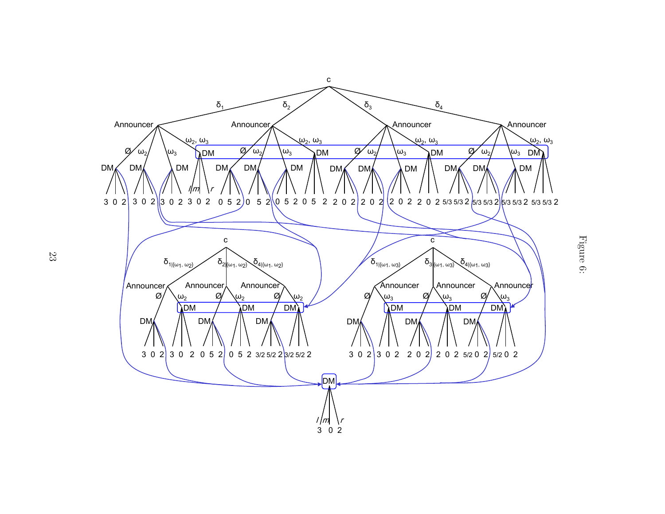

Figure 6: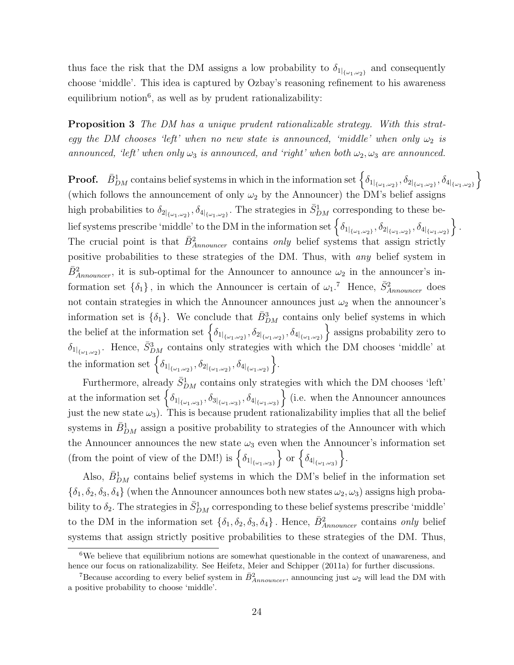thus face the risk that the DM assigns a low probability to  $\delta_{1|_{\{\omega_1,\omega_2\}}}$  and consequently choose 'middle'. This idea is captured by Ozbay's reasoning refinement to his awareness equilibrium notion<sup>6</sup>, as well as by prudent rationalizability:

Proposition 3 *The DM has a unique prudent rationalizable strategy. With this strategy the DM chooses 'left' when no new state is announced, 'middle' when only*  $\omega_2$  *is announced, 'left' when only*  $\omega_3$  *is announced, and 'right' when both*  $\omega_2, \omega_3$  *are announced.* 

**Proof.**  $\bar{B}_{DM}^1$  contains belief systems in which in the information set  $\left\{\delta_{1|_{\{\omega_1,\omega_2\}}}, \delta_{2|_{\{\omega_1,\omega_2\}}}, \delta_{4|_{\{\omega_1,\omega_2\}}}\right\}$ (which follows the announcement of only  $\omega_2$  by the Announcer) the DM's belief assigns high probabilities to  $\delta_{2|\{\omega_1,\omega_2\}}, \delta_{4|\{\omega_1,\omega_2\}}$ . The strategies in  $\bar{S}_{DM}^1$  corresponding to these be- $\text{lief systems prescribe 'middle' to the DM in the information set } \left\{ \delta_{1|_{\{\omega_1,\omega_2\}}}, \delta_{2|_{\{\omega_1,\omega_2\}}}, \delta_{4|_{\{\omega_1,\omega_2\}}} \right\}.$ The crucial point is that  $\bar{B}_{Announce}^2$  contains *only* belief systems that assign strictly positive probabilities to these strategies of the DM. Thus, with *any* belief system in  $\bar{B}^2_{Announer}$ , it is sub-optimal for the Announcer to announce  $\omega_2$  in the announcer's information set  $\{\delta_1\}$ , in which the Announcer is certain of  $\omega_1$ .<sup>7</sup> Hence,  $\bar{S}_{Announce}^2$  does not contain strategies in which the Announcer announces just  $\omega_2$  when the announcer's information set is  $\{\delta_1\}$ . We conclude that  $\bar{B}_{DM}^3$  contains only belief systems in which the belief at the information set  $\left\{ \delta_{1|_{\{\omega_1,\omega_2\}}}, \delta_{2|_{\{\omega_1,\omega_2\}}}, \delta_{4|_{\{\omega_1,\omega_2\}}} \right\}$  assigns probability zero to  $\delta_{1_{\{\omega_1,\omega_2\}}}$ . Hence,  $\bar{S}_{DM}^3$  contains only strategies with which the DM chooses 'middle' at the information set  $\left\{ \delta_{1|_{\{\omega_1,\omega_2\}}}, \delta_{2|_{\{\omega_1,\omega_2\}}}, \delta_{4|_{\{\omega_1,\omega_2\}}} \right\}$ .

Furthermore, already  $\bar{S}_{DM}^1$  contains only strategies with which the DM chooses 'left' at the information set  $\left\{\delta_{1|\{\omega_1,\omega_3\}}, \delta_{3|\{\omega_1,\omega_3\}}, \delta_{4|\{\omega_1,\omega_3\}}\right\}$  (i.e. when the Announcer announces just the new state  $\omega_3$ ). This is because prudent rationalizability implies that all the belief systems in  $\bar{B}_{DM}^1$  assign a positive probability to strategies of the Announcer with which the Announcer announces the new state  $\omega_3$  even when the Announcer's information set (from the point of view of the DM!) is  $\{\delta_{1|_{\{\omega_1,\omega_3\}}}\}\$  or  $\{\delta_{4|_{\{\omega_1,\omega_3\}}}\}\$ .

Also,  $\bar{B}_{DM}^1$  contains belief systems in which the DM's belief in the information set  $\{\delta_1, \delta_2, \delta_3, \delta_4\}$  (when the Announcer announces both new states  $\omega_2, \omega_3$ ) assigns high probability to  $\delta_2$ . The strategies in  $\bar{S}_{DM}^1$  corresponding to these belief systems prescribe 'middle' to the DM in the information set  $\{\delta_1, \delta_2, \delta_3, \delta_4\}$ . Hence,  $\bar{B}^2_{Announce}$  contains *only* belief systems that assign strictly positive probabilities to these strategies of the DM. Thus,

<sup>&</sup>lt;sup>6</sup>We believe that equilibrium notions are somewhat questionable in the context of unawareness, and hence our focus on rationalizability. See Heifetz, Meier and Schipper (2011a) for further discussions.

<sup>&</sup>lt;sup>7</sup>Because according to every belief system in  $\bar{B}^2_{Announce}$ , announcing just  $\omega_2$  will lead the DM with a positive probability to choose 'middle'.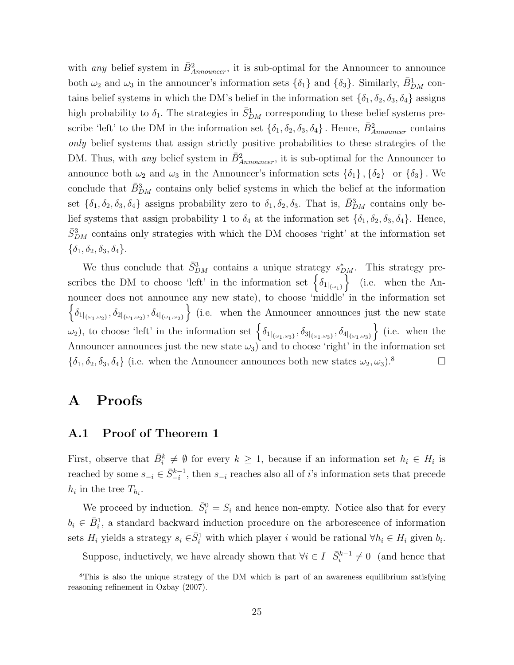with *any* belief system in  $\bar{B}_{Announce}^2$ , it is sub-optimal for the Announcer to announce both  $\omega_2$  and  $\omega_3$  in the announcer's information sets  $\{\delta_1\}$  and  $\{\delta_3\}$ . Similarly,  $\bar{B}_{DM}^1$  contains belief systems in which the DM's belief in the information set  $\{\delta_1, \delta_2, \delta_3, \delta_4\}$  assigns high probability to  $\delta_1$ . The strategies in  $\bar{S}_{DM}^1$  corresponding to these belief systems prescribe 'left' to the DM in the information set  $\{\delta_1, \delta_2, \delta_3, \delta_4\}$ . Hence,  $\bar{B}_{Announer}^2$  contains *only* belief systems that assign strictly positive probabilities to these strategies of the DM. Thus, with *any* belief system in  $\bar{B}_{Announer}^2$ , it is sub-optimal for the Announcer to announce both  $\omega_2$  and  $\omega_3$  in the Announcer's information sets  $\{\delta_1\}$ ,  $\{\delta_2\}$  or  $\{\delta_3\}$ . We conclude that  $\bar{B}_{DM}^3$  contains only belief systems in which the belief at the information set  $\{\delta_1,\delta_2,\delta_3,\delta_4\}$  assigns probability zero to  $\delta_1,\delta_2,\delta_3$ . That is,  $\bar{B}_{DM}^3$  contains only belief systems that assign probability 1 to  $\delta_4$  at the information set  $\{\delta_1, \delta_2, \delta_3, \delta_4\}$ . Hence,  $\bar{S}_{DM}^3$  contains only strategies with which the DM chooses 'right' at the information set  $\{\delta_1, \delta_2, \delta_3, \delta_4\}.$ 

We thus conclude that  $\bar{S}_{DM}^3$  contains a unique strategy  $s_{DM}^*$ . This strategy prescribes the DM to choose 'left' in the information set  $\{\delta_{1|\{\omega_{1}\}}\}$  (i.e. when the Announcer does not announce any new state), to choose 'middle' in the information set  $\left\{\delta_{1\left[\omega_1,\omega_2\right]},\delta_{2\left[\omega_1,\omega_2\right]},\delta_{4\left[\omega_1,\omega_2\right]}\right\}$  (i.e. when the Announcer announces just the new state  $\omega_2$ ), to choose 'left' in the information set  $\left\{\delta_{1|\{\omega_1,\omega_3\}}, \delta_{3|\{\omega_1,\omega_3\}}, \delta_{4|\{\omega_1,\omega_3\}}\right\}$  (i.e. when the Announcer announces just the new state  $\omega_3$  and to choose 'right' in the information set  ${\lbrace \delta_1, \delta_2, \delta_3, \delta_4 \rbrace}$  (i.e. when the Announcer announces both new states  $\omega_2, \omega_3$ ).<sup>8</sup>

## A Proofs

### A.1 Proof of Theorem 1

First, observe that  $\bar{B}_i^k \neq \emptyset$  for every  $k \geq 1$ , because if an information set  $h_i \in H_i$  is reached by some  $s_{-i} \in \bar{S}_{-i}^{k-1}$ , then  $s_{-i}$  reaches also all of *i*'s information sets that precede  $h_i$  in the tree  $T_{h_i}$ .

We proceed by induction.  $\bar{S}_i^0 = S_i$  and hence non-empty. Notice also that for every  $b_i \in \bar{B}_i^1$ , a standard backward induction procedure on the arborescence of information sets  $H_i$  yields a strategy  $s_i \in \bar{S}_i^1$  with which player i would be rational  $\forall h_i \in H_i$  given  $b_i$ .

Suppose, inductively, we have already shown that  $\forall i \in I$   $\bar{S}_i^{k-1} \neq 0$  (and hence that

<sup>&</sup>lt;sup>8</sup>This is also the unique strategy of the DM which is part of an awareness equilibrium satisfying reasoning refinement in Ozbay (2007).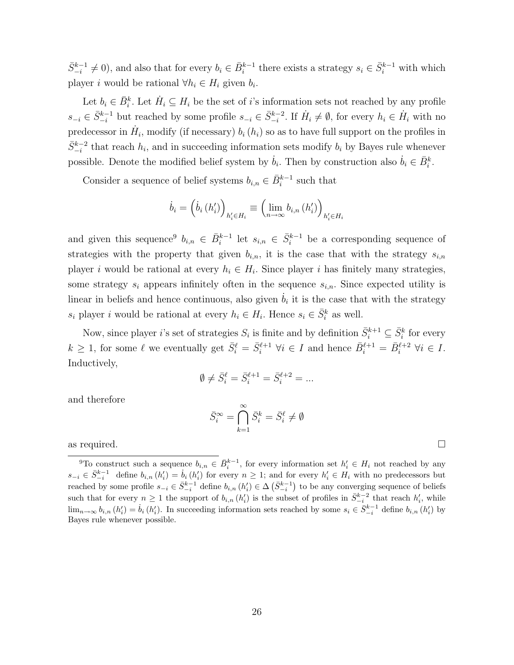$\bar{S}_{-i}^{k-1} \neq 0$ ), and also that for every  $b_i \in \bar{B}_i^{k-1}$  there exists a strategy  $s_i \in \bar{S}_i^{k-1}$  with which player *i* would be rational  $\forall h_i \in H_i$  given  $b_i$ .

Let  $b_i \in \bar{B}_i^k$ . Let  $\dot{H}_i \subseteq H_i$  be the set of i's information sets not reached by any profile  $s_{-i} \in \bar{S}_{-i}^{k-1}$  but reached by some profile  $s_{-i} \in \bar{S}_{-i}^{k-2}$ . If  $\dot{H}_i \neq \emptyset$ , for every  $h_i \in \dot{H}_i$  with no predecessor in  $\dot{H}_i$ , modify (if necessary)  $b_i(h_i)$  so as to have full support on the profiles in  $\bar{S}_{-i}^{k-2}$  that reach  $h_i$ , and in succeeding information sets modify  $b_i$  by Bayes rule whenever possible. Denote the modified belief system by  $\dot{b}_i$ . Then by construction also  $\dot{b}_i \in \bar{B}_i^k$ .

Consider a sequence of belief systems  $b_{i,n} \in \overline{B}_i^{k-1}$  such that

$$
\dot{b}_{i} = \left(\dot{b}_{i} \left(h_{i}'\right)\right)_{h_{i}' \in H_{i}} \equiv \left(\lim_{n \to \infty} b_{i,n} \left(h_{i}'\right)\right)_{h_{i}' \in H_{i}}
$$

and given this sequence<sup>9</sup>  $b_{i,n} \in \bar{B}_i^{k-1}$  let  $s_{i,n} \in \bar{S}_i^{k-1}$  be a corresponding sequence of strategies with the property that given  $b_{i,n}$ , it is the case that with the strategy  $s_{i,n}$ player i would be rational at every  $h_i \in H_i$ . Since player i has finitely many strategies, some strategy  $s_i$  appears infinitely often in the sequence  $s_{i,n}$ . Since expected utility is linear in beliefs and hence continuous, also given  $\dot{b}_i$  it is the case that with the strategy  $s_i$  player i would be rational at every  $h_i \in H_i$ . Hence  $s_i \in \bar{S}_i^k$  as well.

Now, since player *i*'s set of strategies  $S_i$  is finite and by definition  $\bar{S}_i^{k+1} \subseteq \bar{S}_i^k$  for every  $k \geq 1$ , for some  $\ell$  we eventually get  $\bar{S}_i^{\ell} = \bar{S}_i^{\ell+1} \ \forall i \in I$  and hence  $\bar{B}_i^{\ell+1} = \bar{B}_i^{\ell+2} \ \forall i \in I$ . Inductively,

$$
\emptyset \neq \bar{S}_i^{\ell} = \bar{S}_i^{\ell+1} = \bar{S}_i^{\ell+2} = \dots
$$

and therefore

$$
\bar{S}_i^{\infty} = \bigcap_{k=1}^{\infty} \bar{S}_i^k = \bar{S}_i^{\ell} \neq \emptyset
$$

as required.  $\Box$ 

<sup>&</sup>lt;sup>9</sup>To construct such a sequence  $b_{i,n} \in \bar{B}_i^{k-1}$ , for every information set  $h'_i \in H_i$  not reached by any  $s_{-i} \in \bar{S}_{-i}^{k-1}$  define  $b_{i,n}(h'_i) = \dot{b}_i(h'_i)$  for every  $n \geq 1$ ; and for every  $h'_i \in H_i$  with no predecessors but reached by some profile  $s_{-i} \in \bar{S}_{-i}^{k-1}$  define  $b_{i,n}(h'_i) \in \Delta(\bar{S}_{-i}^{k-1})$  to be any converging sequence of beliefs such that for every  $n \geq 1$  the support of  $b_{i,n}(h'_i)$  is the subset of profiles in  $\bar{S}_{-i}^{k-2}$  that reach  $h'_i$ , while  $\lim_{n\to\infty} b_{i,n} (h'_i) = \dot{b}_i (h'_i)$ . In succeeding information sets reached by some  $s_i \in \bar{S}_{-i}^{k-1}$  define  $b_{i,n} (h'_i)$  by Bayes rule whenever possible.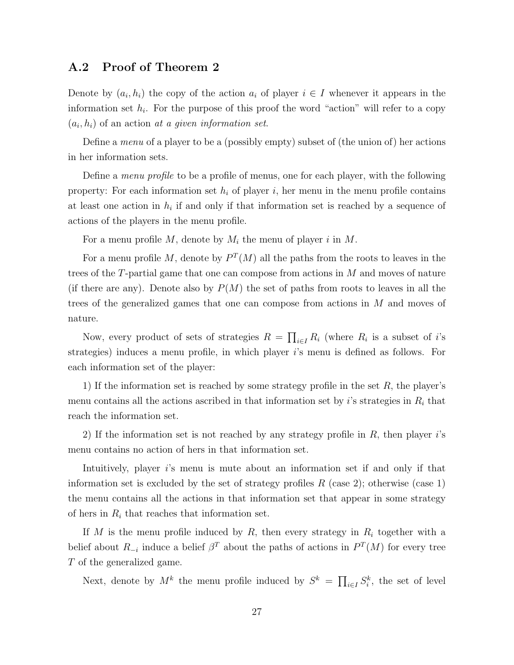## A.2 Proof of Theorem 2

Denote by  $(a_i, h_i)$  the copy of the action  $a_i$  of player  $i \in I$  whenever it appears in the information set  $h_i$ . For the purpose of this proof the word "action" will refer to a copy  $(a_i, h_i)$  of an action *at a given information set*.

Define a *menu* of a player to be a (possibly empty) subset of (the union of) her actions in her information sets.

Define a *menu profile* to be a profile of menus, one for each player, with the following property: For each information set  $h_i$  of player i, her menu in the menu profile contains at least one action in  $h_i$  if and only if that information set is reached by a sequence of actions of the players in the menu profile.

For a menu profile M, denote by  $M_i$  the menu of player i in M.

For a menu profile M, denote by  $P^{T}(M)$  all the paths from the roots to leaves in the trees of the  $T$ -partial game that one can compose from actions in  $M$  and moves of nature (if there are any). Denote also by  $P(M)$  the set of paths from roots to leaves in all the trees of the generalized games that one can compose from actions in M and moves of nature.

Now, every product of sets of strategies  $R = \prod_{i \in I} R_i$  (where  $R_i$  is a subset of i's strategies) induces a menu profile, in which player i's menu is defined as follows. For each information set of the player:

1) If the information set is reached by some strategy profile in the set  $R$ , the player's menu contains all the actions ascribed in that information set by  $i$ 's strategies in  $R_i$  that reach the information set.

2) If the information set is not reached by any strategy profile in  $R$ , then player  $i$ 's menu contains no action of hers in that information set.

Intuitively, player is menu is mute about an information set if and only if that information set is excluded by the set of strategy profiles  $R$  (case 2); otherwise (case 1) the menu contains all the actions in that information set that appear in some strategy of hers in  $R_i$  that reaches that information set.

If M is the menu profile induced by R, then every strategy in  $R_i$  together with a belief about  $R_{-i}$  induce a belief  $\beta^T$  about the paths of actions in  $P^T(M)$  for every tree T of the generalized game.

Next, denote by  $M^k$  the menu profile induced by  $S^k = \prod_{i \in I} S_i^k$ , the set of level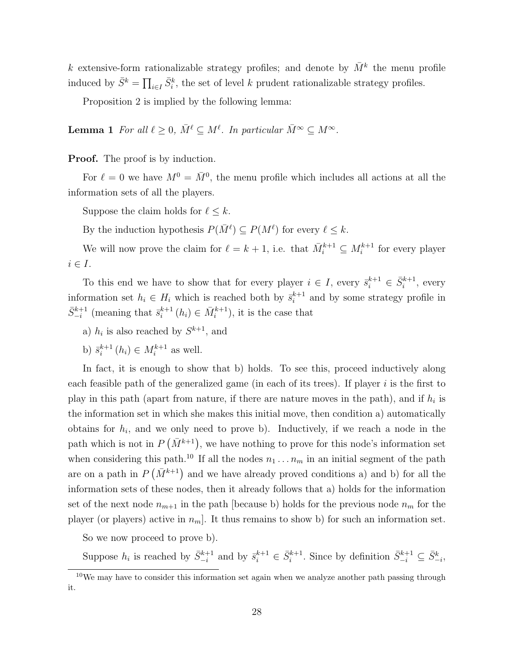k extensive-form rationalizable strategy profiles; and denote by  $\bar{M}^k$  the menu profile induced by  $\bar{S}^k = \prod_{i \in I} \bar{S}_i^k$ , the set of level k prudent rationalizable strategy profiles.

Proposition 2 is implied by the following lemma:

**Lemma 1** For all  $\ell \geq 0$ ,  $\bar{M}^{\ell} \subseteq M^{\ell}$ . In particular  $\bar{M}^{\infty} \subseteq M^{\infty}$ .

Proof. The proof is by induction.

For  $\ell = 0$  we have  $M^0 = \overline{M}{}^0$ , the menu profile which includes all actions at all the information sets of all the players.

Suppose the claim holds for  $\ell \leq k$ .

By the induction hypothesis  $P(\bar{M}^{\ell}) \subseteq P(M^{\ell})$  for every  $\ell \leq k$ .

We will now prove the claim for  $\ell = k + 1$ , i.e. that  $\bar{M}_i^{k+1} \subseteq M_i^{k+1}$  for every player  $i \in I$ .

To this end we have to show that for every player  $i \in I$ , every  $\bar{s}_i^{k+1} \in \bar{S}_i^{k+1}$ , every information set  $h_i \in H_i$  which is reached both by  $\bar{s}_i^{k+1}$  $i^{k+1}$  and by some strategy profile in  $\bar{S}_{-i}^{k+1}$  (meaning that  $\bar{s}_i^{k+1}$  $i^{k+1}$   $(h_i) \in \bar{M}_i^{k+1}$ , it is the case that

a)  $h_i$  is also reached by  $S^{k+1}$ , and

b)  $\bar{s}_i^{k+1}$  $i^{k+1}$   $(h_i) \in M_i^{k+1}$  as well.

In fact, it is enough to show that b) holds. To see this, proceed inductively along each feasible path of the generalized game (in each of its trees). If player  $i$  is the first to play in this path (apart from nature, if there are nature moves in the path), and if  $h_i$  is the information set in which she makes this initial move, then condition a) automatically obtains for  $h_i$ , and we only need to prove b). Inductively, if we reach a node in the path which is not in  $P(\bar{M}^{k+1})$ , we have nothing to prove for this node's information set when considering this path.<sup>10</sup> If all the nodes  $n_1 \ldots n_m$  in an initial segment of the path are on a path in  $P(\bar{M}^{k+1})$  and we have already proved conditions a) and b) for all the information sets of these nodes, then it already follows that a) holds for the information set of the next node  $n_{m+1}$  in the path [because b) holds for the previous node  $n_m$  for the player (or players) active in  $n_m$ . It thus remains to show b) for such an information set.

So we now proceed to prove b).

Suppose  $h_i$  is reached by  $\bar{S}_{-i}^{k+1}$  and by  $\bar{s}_i^{k+1} \in \bar{S}_i^{k+1}$ . Since by definition  $\bar{S}_{-i}^{k+1} \subseteq \bar{S}_{-i}^k$ ,

<sup>10</sup>We may have to consider this information set again when we analyze another path passing through it.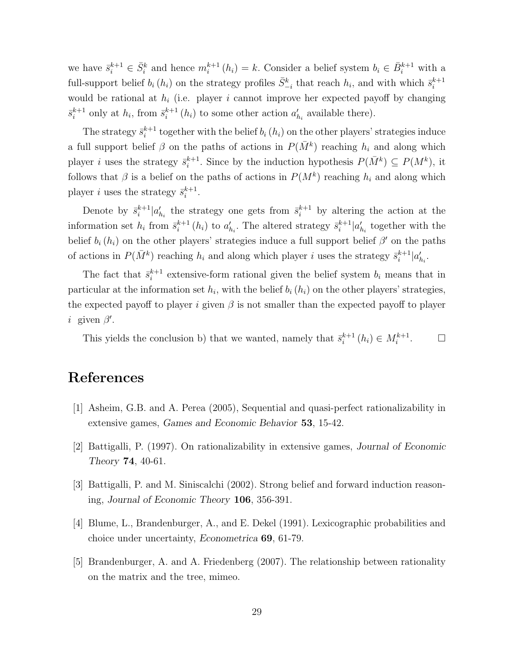we have  $\bar{s}_i^{k+1} \in \bar{S}_i^k$  and hence  $m_i^{k+1}(h_i) = k$ . Consider a belief system  $b_i \in \bar{B}_i^{k+1}$  with a full-support belief  $b_i(h_i)$  on the strategy profiles  $\bar{S}_{-i}^k$  that reach  $h_i$ , and with which  $\bar{s}_i^{k+1}$ i would be rational at  $h_i$  (i.e. player i cannot improve her expected payoff by changing  $\overline{s}_i^{k+1}$  $i^{k+1}$  only at  $h_i$ , from  $\bar{s}^{k+1}_i$  $i^{k+1}(h_i)$  to some other action  $a'_{h_i}$  available there).

The strategy  $\bar{s}_i^{k+1}$  $i<sup>k+1</sup>$  together with the belief  $b<sub>i</sub>$  ( $h<sub>i</sub>$ ) on the other players' strategies induce a full support belief  $\beta$  on the paths of actions in  $P(\bar{M}^k)$  reaching  $h_i$  and along which player *i* uses the strategy  $\bar{s}_i^{k+1}$  $i^{k+1}$ . Since by the induction hypothesis  $P(\bar{M}^k) \subseteq P(M^k)$ , it follows that  $\beta$  is a belief on the paths of actions in  $P(M^k)$  reaching  $h_i$  and along which player *i* uses the strategy  $\bar{s}_i^{k+1}$  $\frac{k+1}{i}$ .

Denote by  $\bar{s}_i^{k+1}$  $\sum_{i=1}^{k+1} |a'_{h_i}|$  the strategy one gets from  $\bar{s}_i^{k+1}$  by altering the action at the information set  $h_i$  from  $\bar{s}_i^{k+1}$  $i_i^{k+1}(h_i)$  to  $a'_{h_i}$ . The altered strategy  $\bar{s}_i^{k+1}$  $i^{k+1} | a'_{h_i}$  together with the belief  $b_i(h_i)$  on the other players' strategies induce a full support belief  $\beta'$  on the paths of actions in  $P(\bar{M}^k)$  reaching  $h_i$  and along which player i uses the strategy  $\bar{s}_i^{k+1}$  $_{i}^{k+1}|a'_{h_i}.$ 

The fact that  $\bar{s}_i^{k+1}$  $i^{k+1}$  extensive-form rational given the belief system  $b_i$  means that in particular at the information set  $h_i$ , with the belief  $b_i(h_i)$  on the other players' strategies, the expected payoff to player i given  $\beta$  is not smaller than the expected payoff to player *i* given  $\beta'$ .

This yields the conclusion b) that we wanted, namely that  $\bar{s}_i^{k+1}$  $i^{k+1}$   $(h_i) \in M_i^{k+1}$  $\Box$ 

# References

- [1] Asheim, G.B. and A. Perea (2005), Sequential and quasi-perfect rationalizability in extensive games, Games and Economic Behavior 53, 15-42.
- [2] Battigalli, P. (1997). On rationalizability in extensive games, Journal of Economic Theory 74, 40-61.
- [3] Battigalli, P. and M. Siniscalchi (2002). Strong belief and forward induction reasoning, Journal of Economic Theory 106, 356-391.
- [4] Blume, L., Brandenburger, A., and E. Dekel (1991). Lexicographic probabilities and choice under uncertainty, Econometrica 69, 61-79.
- [5] Brandenburger, A. and A. Friedenberg (2007). The relationship between rationality on the matrix and the tree, mimeo.